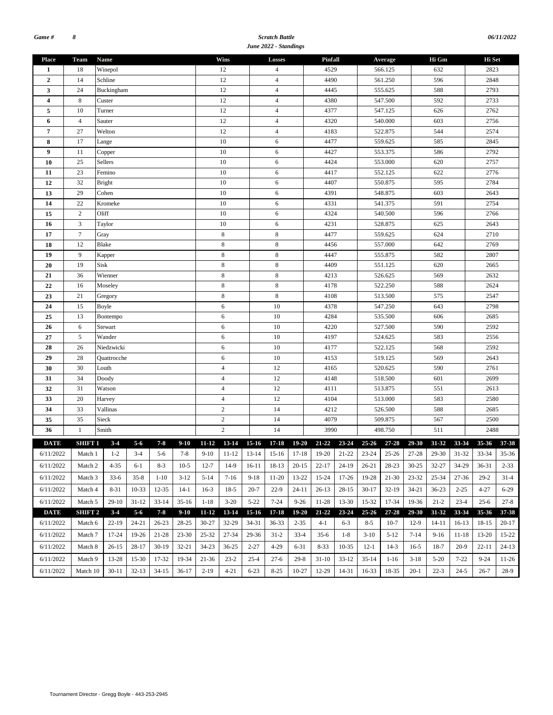#### *Scratch Battle June 2022 - Standings*

|                |                    |                   |           |           |         |             |                                  |                | June 2022 - Standings |           |              |              |                    |                    |           |           |              |              |          |  |
|----------------|--------------------|-------------------|-----------|-----------|---------|-------------|----------------------------------|----------------|-----------------------|-----------|--------------|--------------|--------------------|--------------------|-----------|-----------|--------------|--------------|----------|--|
| <b>Place</b>   | Team               | <b>Name</b>       |           |           |         |             | Wins                             |                | Losses                |           | Pinfall      |              |                    | Average            |           | Hi Gm     |              | Hi Set       |          |  |
| 1              | 18                 | Winepol           |           |           |         |             | 12                               |                | $\overline{4}$        |           | 4529         |              |                    | 566.125            |           | 632       |              | 2823         |          |  |
| $\overline{2}$ | 14                 | Schline           |           |           |         |             | 12                               |                | $\overline{4}$        |           | 4490         |              |                    | 561.250            |           | 596       |              | 2848         |          |  |
| 3              | 24                 | <b>Buckingham</b> |           |           |         |             | 12                               |                | $\overline{4}$        |           | 4445         |              | 555.625            |                    |           | 588       |              | 2793         |          |  |
| 4              | $\,$ 8 $\,$        | Custer            |           |           |         | 12          |                                  | $\overline{4}$ |                       | 4380      |              | 547.500      |                    |                    | 592       |           | 2733         |              |          |  |
| 5              | 10                 | Turner            |           |           |         | 12          |                                  | $\overline{4}$ |                       | 4377      |              | 547.125      |                    |                    | 626       |           | 2762         |              |          |  |
| 6              | $\overline{4}$     | Sauter            |           |           |         | 12          |                                  | $\overline{4}$ |                       | 4320      |              |              | 540.000            |                    | 603       |           | 2756         |              |          |  |
| $\overline{7}$ | 27                 | Welton            |           |           |         | 12          |                                  | $\overline{4}$ |                       | 4183      |              |              | 522.875            |                    | 544       |           | 2574         |              |          |  |
| 8              | 17                 | Lange             |           |           |         | 10          |                                  | 6              |                       |           | 4477         |              | 559.625            |                    | 585       |           | 2845         |              |          |  |
| 9              | 11                 | Copper            |           |           |         | 10          |                                  | 6              |                       | 4427      |              |              | 553.375            |                    | 586       |           | 2792         |              |          |  |
| 10             | 25                 | Sellers           |           |           |         | 10          |                                  | 6              |                       | 4424      |              |              | 553.000            |                    | 620       |           | 2757         |              |          |  |
| 11             | 23                 | Femino            |           |           |         |             | 10                               |                | 6                     |           | 4417         |              |                    | 552.125            |           | 622       |              | 2776         |          |  |
| 12             | 32                 | <b>Bright</b>     |           |           |         |             | 10                               |                | 6                     |           | 4407         |              |                    | 550.875            |           | 595       |              | 2784         |          |  |
| 13             | 29                 | Cohen             |           |           |         |             | 10                               |                | 6                     |           | 4391         |              |                    | 548.875            |           | 603       |              | 2643         |          |  |
| 14             | $22\,$             | Kromeke           |           |           |         |             | 10                               |                | 6                     |           | 4331         |              |                    | 541.375            |           | 591       |              | 2754         |          |  |
| 15             | $\mathbf{2}$       | Oliff             |           |           |         |             | 10                               |                | 6                     |           | 4324         |              |                    | 540.500            |           | 596       |              | 2766         |          |  |
| 16             | 3                  | Taylor            |           |           |         |             | 10                               |                | 6                     |           | 4231         |              |                    | 528.875            |           | 625       |              | 2643         |          |  |
| 17             | $\tau$             | Gray              |           |           |         |             | $\,$ 8 $\,$                      |                | $\,$ 8 $\,$           |           |              | 4477<br>4456 |                    | 559.625            |           | 624       |              | 2710         |          |  |
| 18             | 12                 | Blake             |           |           |         |             | $\,$ 8 $\,$                      |                | $\,$ 8 $\,$           |           |              |              |                    | 557.000            |           | 642       |              | 2769         |          |  |
| 19             | 9                  | Kapper            |           |           |         | $\,$ 8 $\,$ |                                  | $\,$ 8 $\,$    |                       |           | 4447         |              | 555.875            |                    | 582       |           | 2807         |              |          |  |
| 20             | 19                 | Sisk              |           |           |         | 8           |                                  | $\,$ 8 $\,$    |                       |           | 4409<br>4213 |              | 551.125<br>526.625 |                    | 620       |           | 2665         |              |          |  |
| 21             | 36                 | Wienner           |           |           |         | $\,8\,$     |                                  | 8              |                       | 4178      |              | 522.250      |                    |                    | 569       |           | 2632         |              |          |  |
| 22             | 16                 | Moseley           |           |           |         | $\,$ 8 $\,$ |                                  | $\,$ 8 $\,$    |                       |           |              |              |                    |                    | 588       |           | 2624         |              |          |  |
| 23             | 21                 | Gregory           |           |           |         | $\,8\,$     |                                  | $\,$ 8 $\,$    |                       | 4108      |              |              | 513.500            |                    | 575       |           | 2547         |              |          |  |
| 24             | 15                 | Boyle             |           |           |         | 6           |                                  | 10             |                       | 4378      |              |              | 547.250            |                    | 643       |           | 2798         |              |          |  |
| 25             | 13                 | Bontempo          |           |           |         | 6           |                                  | 10             |                       | 4284      |              |              | 535.500            |                    | 606       |           | 2685<br>2592 |              |          |  |
| 26             | 6                  | Stewart           |           |           |         | 6           |                                  | 10             |                       | 4220      |              |              | 527.500            |                    | 590       |           | 2556         |              |          |  |
| 27             | 5                  | Wander            |           |           |         | 6           |                                  | 10             |                       | 4197      |              |              | 524.625            |                    | 583       |           |              |              |          |  |
| 28             | 26                 | Niedzwicki        |           |           |         |             | 6                                |                | 10                    |           | 4177         |              |                    | 522.125            |           | 568       |              | 2592<br>2643 |          |  |
| 29             | 28                 | Quattrocche       |           |           |         |             | 6                                |                | 10<br>12              |           | 4153         |              | 519.125            |                    |           | 569       |              | 2761         |          |  |
| 30             | 30                 | Louth             |           |           |         |             | $\overline{4}$                   |                |                       |           | 4165         |              | 520.625            |                    |           | 590       |              |              |          |  |
| 31             | 34                 | Doody             |           |           |         |             | $\overline{4}$                   |                | 12                    |           | 4148         |              | 518.500            |                    |           | 601       |              | 2699         |          |  |
| 32             | 31                 | Watson            |           |           |         |             | $\overline{4}$                   |                | 12                    |           | 4111         |              | 513.875            |                    |           | 551       |              | 2613         |          |  |
| 33             | 20                 | Harvey            |           |           |         |             | $\overline{4}$                   |                | 12                    |           | 4104         |              | 513.000            |                    |           | 583       |              | 2580<br>2685 |          |  |
| 34             | 33                 | Vallinas          |           |           |         |             | $\mathbf{2}$                     |                | 14                    |           | 4212         |              |                    | 526.500            |           | 588       |              |              |          |  |
| 35<br>36       | 35<br>1            | Sieck<br>Smith    |           |           |         |             | $\mathbf{2}$<br>$\boldsymbol{2}$ |                | 14                    |           | 4079<br>3990 |              |                    | 509.875<br>498.750 |           | 567       |              | 2500<br>2488 |          |  |
|                |                    |                   |           |           |         |             |                                  |                | 14                    |           |              |              |                    |                    |           | 511       |              |              |          |  |
| <b>DATE</b>    | SHIFT 1            | $3 - 4$           | $5-6$     | $7 - 8$   | $9-10$  | $11 - 12$   | 13-14                            | $15-16$        | $17 - 18$             | $19 - 20$ | $21 - 22$    | $23 - 24$    | $25 - 26$          | 27-28              | 29-30     | 31-32     | 33-34        | $35 - 36$    | 37-38    |  |
| 6/11/2022      | Match 1            | $1 - 2$           | $3-4$     | $5-6$     | 7-8     | $9 - 10$    | 11-12                            | 13-14          | 15-16                 | 17-18     | 19-20        | 21-22        | 23-24              | $25 - 26$          | 27-28     | 29-30     | $31 - 32$    | 33-34        | 35-36    |  |
| 6/11/2022      | Match 2            | $4 - 35$          | $6-1$     | $8 - 3$   | $10-5$  | $12 - 7$    | $14-9$                           | $16-11$        | 18-13                 | $20 - 15$ | $22 - 17$    | 24-19        | $26 - 21$          | 28-23              | $30 - 25$ | 32-27     | 34-29        | 36-31        | $2 - 33$ |  |
| 6/11/2022      | Match 3            | $33-6$            | $35 - 8$  | $1 - 10$  | $3-12$  | $5 - 14$    | $7-16$                           | $9-18$         | $11-20$               | 13-22     | 15-24        | 17-26        | 19-28              | $21-30$            | 23-32     | 25-34     | 27-36        | $29-2$       | $31 - 4$ |  |
| 6/11/2022      | Match 4            | 8-31              | $10-33$   | $12 - 35$ | $14-1$  | $16-3$      | $18-5$                           | $20 - 7$       | $22-9$                | $24 - 11$ | $26-13$      | $28 - 15$    | $30-17$            | $32-19$            | $34 - 21$ | $36 - 23$ | $2 - 25$     | 4-27         | $6 - 29$ |  |
| 6/11/2022      | Match 5            | $29-10$           | $31 - 12$ | $33 - 14$ | $35-16$ | $1 - 18$    | $3-20$                           | $5 - 22$       | $7 - 24$              | $9 - 26$  | 11-28        | 13-30        | 15-32              | 17-34              | 19-36     | $21 - 2$  | $23 - 4$     | $25 - 6$     | $27 - 8$ |  |
| <b>DATE</b>    | SHIFT <sub>2</sub> | $3 - 4$           | $5 - 6$   | $7 - 8$   | $9-10$  | $11 - 12$   | $13 - 14$                        | $15 - 16$      | $17 - 18$             | $19 - 20$ | $21 - 22$    | 23-24        | $25 - 26$          | $27 - 28$          | 29-30     | 31-32     | 33-34        | 35-36        | 37-38    |  |
| 6/11/2022      |                    |                   |           |           |         |             | 32-29                            |                |                       |           |              | $6 - 3$      |                    |                    | $12-9$    |           |              |              |          |  |
|                | Match 6            | $22 - 19$         | 24-21     | $26 - 23$ | 28-25   | $30 - 27$   |                                  | 34-31          | 36-33                 | $2 - 35$  | $4 - 1$      |              | $8 - 5$            | $10-7$             |           | $14-11$   | $16-13$      | 18-15        | $20-17$  |  |
| 6/11/2022      | Match 7            | 17-24             | 19-26     | 21-28     | 23-30   | 25-32       | 27-34                            | 29-36          | $31-2$                | $33-4$    | $35-6$       | $1 - 8$      | $3-10$             | $5-12$             | $7-14$    | $9-16$    | 11-18        | 13-20        | 15-22    |  |
| 6/11/2022      | Match 8            | $26 - 15$         | 28-17     | $30-19$   | 32-21   | 34-23       | $36 - 25$                        | $2 - 27$       | $4 - 29$              | $6 - 31$  | $8 - 33$     | $10-35$      | $12-1$             | $14-3$             | $16-5$    | $18-7$    | $20-9$       | $22 - 11$    | $24-13$  |  |
| 6/11/2022      | Match 9            | 13-28             | 15-30     | 17-32     | 19-34   | 21-36       | $23 - 2$                         | $25 - 4$       | $27-6$                | $29-8$    | $31-10$      | $33-12$      | $35 - 14$          | $1-16$             | $3-18$    | $5 - 20$  | $7 - 22$     | $9 - 24$     | 11-26    |  |
| 6/11/2022      | Match 10           | $30-11$           | $32-13$   | $34 - 15$ | $36-17$ | $2 - 19$    | $4 - 21$                         | $6 - 23$       | $8 - 25$              | $10-27$   | 12-29        | 14-31        | 16-33              | 18-35              | $20-1$    | $22 - 3$  | $24 - 5$     | $26 - 7$     | $28-9$   |  |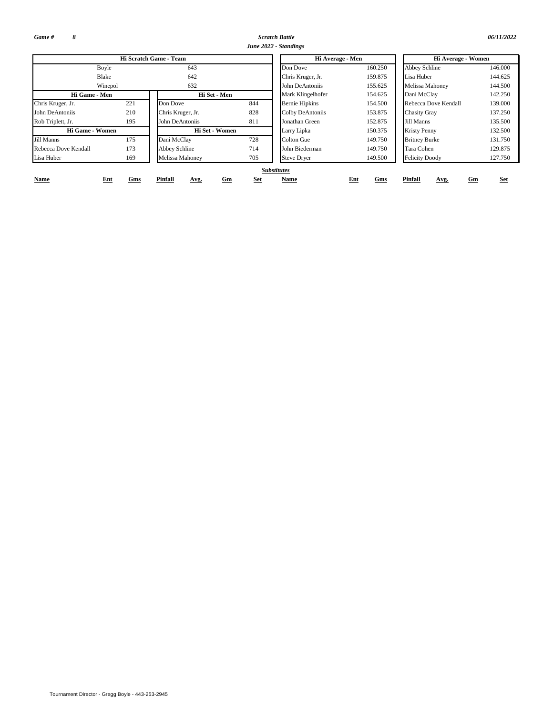*Game # 8*

*Scratch Battle 06/11/2022 June 2022 - Standings*

|                      |            | Hi Scratch Game - Team |                         | Hi Average - Men        |            | Hi Average - Women    |            |  |  |  |
|----------------------|------------|------------------------|-------------------------|-------------------------|------------|-----------------------|------------|--|--|--|
|                      | Boyle      | 643                    |                         | Don Dove                | 160.250    | Abbey Schline         | 146.000    |  |  |  |
|                      | Blake      | 642                    |                         | Chris Kruger, Jr.       | 159.875    | Lisa Huber            | 144.625    |  |  |  |
|                      | Winepol    | 632                    |                         | John DeAntoniis         | 155.625    | Melissa Mahoney       | 144.500    |  |  |  |
| Hi Game - Men        |            | Hi Set - Men           |                         | Mark Klingelhofer       | 154.625    | Dani McClay           | 142.250    |  |  |  |
| Chris Kruger, Jr.    | 221        | Don Dove               | 844                     | <b>Bernie Hipkins</b>   | 154.500    | Rebecca Dove Kendall  | 139,000    |  |  |  |
| John DeAntoniis      | 210        | Chris Kruger, Jr.      | 828                     | <b>Colby DeAntoniis</b> | 153.875    | <b>Chasity Gray</b>   | 137.250    |  |  |  |
| Rob Triplett, Jr.    | 195        | John DeAntoniis        | 811                     | Jonathan Green          | 152.875    | Jill Manns            | 135.500    |  |  |  |
| Hi Game - Women      |            | Hi Set - Women         |                         | Larry Lipka             | 150.375    | <b>Kristy Penny</b>   | 132.500    |  |  |  |
| Jill Manns           | 175        | Dani McClay            | 728                     | Colton Gue              | 149.750    | <b>Britney Burke</b>  | 131.750    |  |  |  |
| Rebecca Dove Kendall | 173        | Abbey Schline          | 714                     | John Biederman          | 149.750    | Tara Cohen            | 129.875    |  |  |  |
| Lisa Huber           | 169        | Melissa Mahoney        | 705                     | <b>Steve Dryer</b>      | 149.500    | <b>Felicity Doody</b> | 127.750    |  |  |  |
|                      |            |                        |                         | <b>Substitutes</b>      |            |                       |            |  |  |  |
| Name                 | Ent<br>Gms | Pinfall<br>Avg.        | <b>Set</b><br><u>Gm</u> | Name                    | Ent<br>Gms | Pinfall<br>Gm<br>Avg. | <b>Set</b> |  |  |  |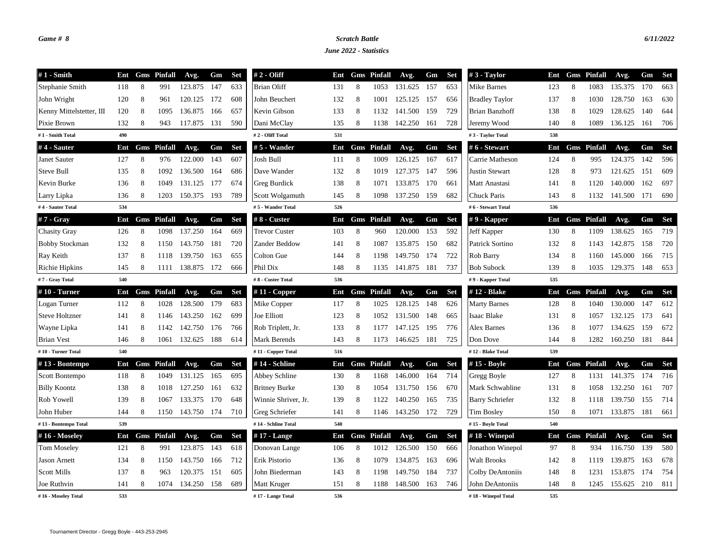## *Game # 8 Scratch Battle 6/11/2022*

*June 2022 - Statistics*

| $#1$ - Smith             | Ent |   | <b>Gms</b> Pinfall | Avg.             | Gm    | <b>Set</b> | $# 2 - Oliff$        | Ent |   | <b>Gms</b> Pinfall | Avg.             | Gm  | <b>Set</b> | $#3$ - Taylor          | Ent |    | <b>Gms</b> Pinfall | Avg.         | Gm    | <b>Set</b> |
|--------------------------|-----|---|--------------------|------------------|-------|------------|----------------------|-----|---|--------------------|------------------|-----|------------|------------------------|-----|----|--------------------|--------------|-------|------------|
| Stephanie Smith          | 118 | 8 | 991                | 123.875          | 147   | 633        | <b>Brian Oliff</b>   | 131 | 8 | 1053               | 131.625          | 157 | 653        | Mike Barnes            | 123 | 8  | 1083               | 135.375      | 170   | 663        |
| John Wright              | 120 | 8 | 961                | 120.125          | 172   | 608        | John Beuchert        | 132 | 8 | 1001               | 125.125          | 157 | 656        | <b>Bradley Taylor</b>  | 137 | 8  | 1030               | 128.750      | 163   | 630        |
| Kenny Mittelstetter, III | 120 | 8 | 1095               | 136.875          | 166   | 657        | Kevin Gibson         | 133 | 8 | 1132               | 141.500          | 159 | 729        | Brian Banzhoff         | 138 | 8  | 1029               | 128.625      | 140   | 644        |
| Pixie Brown              | 132 | 8 | 943                | 117.875 131      |       | 590        | Dani McClay          | 135 | 8 |                    | 1138 142.250 161 |     | 728        | Jeremy Wood            | 140 | 8  | 1089               | 136.125      | - 161 | 706        |
| #1 - Smith Total         | 490 |   |                    |                  |       |            | #2 - Oliff Total     | 531 |   |                    |                  |     |            | #3 - Taylor Total      | 538 |    |                    |              |       |            |
| #4 - Sauter              | Ent |   | <b>Gms</b> Pinfall | Avg.             | Gm    | <b>Set</b> | $# 5$ - Wander       | Ent |   | <b>Gms</b> Pinfall | Avg.             | Gm  | <b>Set</b> | # 6 - Stewart          |     |    | Ent Gms Pinfall    | Avg.         | Gm    | <b>Set</b> |
| <b>Janet Sauter</b>      | 127 | 8 | 976                | 122.000          | 143   | 607        | <b>Josh Bull</b>     | 111 | 8 | 1009               | 126.125          | 167 | 617        | Carrie Matheson        | 124 | 8  | 995                | 124.375      | 142   | 596        |
| <b>Steve Bull</b>        | 135 | 8 | 1092               | 136.500          | -164  | 686        | Dave Wander          | 132 | 8 | 1019               | 127.375          | 147 | 596        | <b>Justin Stewart</b>  | 128 | 8  | 973                | 121.625      | -151  | 609        |
| Kevin Burke              | 136 | 8 | 1049               | 131.125          | 177   | 674        | Greg Burdick         | 138 | 8 | 1071               | 133.875          | 170 | 661        | Matt Anastasi          | 141 | 8  | 1120               | 140.000      | 162   | 697        |
| Larry Lipka              | 136 | 8 | 1203               | 150.375          | 193   | 789        | Scott Wolgamuth      | 145 | 8 | 1098               | 137.250          | 159 | 682        | Chuck Paris            | 143 | 8  | 1132               | 141.500      | 171   | 690        |
| #4 - Sauter Total        | 534 |   |                    |                  |       |            | #5 - Wander Total    | 526 |   |                    |                  |     |            | #6 - Stewart Total     | 536 |    |                    |              |       |            |
| #7 - Gray                | Ent |   | <b>Gms</b> Pinfall | Avg.             | Gm    | <b>Set</b> | #8 - Custer          | Ent |   | <b>Gms</b> Pinfall | Avg.             | Gm  | <b>Set</b> | $#9$ - Kapper          | Ent |    | <b>Gms</b> Pinfall | Avg.         | Gm    | Set        |
| <b>Chasity Gray</b>      | 126 | 8 | 1098               | 137.250          | 164   | 669        | <b>Trevor Custer</b> | 103 | 8 | 960                | 120.000          | 153 | 592        | Jeff Kapper            | 130 | 8  | 1109               | 138.625      | 165   | 719        |
| <b>Bobby Stockman</b>    | 132 | 8 | 1150               | 143.750          | 181   | 720        | Zander Beddow        | 141 | 8 | 1087               | 135.875          | 150 | 682        | Patrick Sortino        | 132 | 8  | 1143               | 142.875      | 158   | 720        |
| Ray Keith                | 137 | 8 | 1118               | 139.750          | 163   | 655        | Colton Gue           | 144 | 8 | 1198               | 149.750          | 174 | 722        | Rob Barry              | 134 | 8  | 1160               | 145.000      | 166   | 715        |
| Richie Hipkins           | 145 | 8 | 1111               | 138.875          | 172   | 666        | Phil Dix             | 148 | 8 | 1135               | 141.875          | 181 | 737        | <b>Bob Subock</b>      | 139 | 8  | 1035               | 129.375      | 148   | 653        |
| #7 - Gray Total          | 540 |   |                    |                  |       |            | #8 - Custer Total    | 536 |   |                    |                  |     |            | #9 - Kapper Total      | 535 |    |                    |              |       |            |
| $#10$ - Turner           | Ent |   | <b>Gms</b> Pinfall | Avg.             | Gm    | <b>Set</b> | $# 11 - Copper$      | Ent |   | <b>Gms</b> Pinfall | Avg.             | Gm  | <b>Set</b> | #12 - Blake            | Ent |    | <b>Gms</b> Pinfall | Avg.         | Gm    | Set        |
| Logan Turner             | 112 | 8 | 1028               | 128.500          | 179   | 683        | Mike Copper          | 117 | 8 | 1025               | 128.125          | 148 | 626        | <b>Marty Barnes</b>    | 128 | 8  | 1040               | 130.000      | 147   | 612        |
| <b>Steve Holtzner</b>    | 141 | 8 | 1146               | 143.250          | 162   | 699        | Joe Elliott          | 123 | 8 | 1052               | 131.500          | 148 | 665        | Isaac Blake            | 131 | 8  | 1057               | 132.125      | 173   | 641        |
| Wayne Lipka              | 141 | 8 | 1142               | 142.750          | 176   | 766        | Rob Triplett, Jr.    | 133 | 8 | 1177               | 147.125          | 195 | 776        | Alex Barnes            | 136 | 8  | 1077               | 134.625      | 159   | 672        |
| <b>Brian Vest</b>        | 146 | 8 | 1061               | 132.625          | 188   | 614        | Mark Berends         | 143 | 8 | 1173               | 146.625          | 181 | 725        | Don Dove               | 144 | 8  | 1282               | 160.250      | 181   | 844        |
| #10 - Turner Total       | 540 |   |                    |                  |       |            | #11 - Copper Total   | 516 |   |                    |                  |     |            | #12 - Blake Total      | 539 |    |                    |              |       |            |
| $#13 - Bontempo$         | Ent |   | <b>Gms</b> Pinfall | Avg.             | Gm    | <b>Set</b> | #14 - Schline        | Ent |   | <b>Gms</b> Pinfall | Avg.             | Gm  | <b>Set</b> | #15 - Boyle            | Ent |    | <b>Gms</b> Pinfall | Avg.         | Gm    | Set        |
| Scott Bontempo           | 118 | 8 | 1049               | 131.125          | 165   | 695        | Abbey Schline        | 130 | 8 | 1168               | 146.000          | 164 | 714        | Gregg Boyle            | 127 | 8  | 1131               | 141.375      | 174   | 716        |
| <b>Billy Koontz</b>      | 138 | 8 | 1018               | 127.250          | 161   | 632        | <b>Britney Burke</b> | 130 | 8 | 1054               | 131.750 156      |     | 670        | Mark Schwabline        | 131 | -8 | 1058               | 132.250      | -161  | 707        |
| Rob Yowell               | 139 | 8 | 1067               | 133.375          | - 170 | 648        | Winnie Shriver, Jr.  | 139 | 8 | 1122               | 140.250          | 165 | 735        | <b>Barry Schriefer</b> | 132 | 8  | 1118               | 139.750      | 155   | 714        |
| John Huber               | 144 | 8 |                    | 1150 143.750 174 |       | 710        | Greg Schriefer       | 141 | 8 |                    | 1146 143.250 172 |     | 729        | <b>Tim Bosley</b>      | 150 | 8  |                    | 1071 133.875 | - 181 | 661        |
| #13 - Bontempo Total     | 539 |   |                    |                  |       |            | #14 - Schline Total  | 540 |   |                    |                  |     |            | #15 - Boyle Total      | 540 |    |                    |              |       |            |
| #16 - Moseley            | Ent |   | <b>Gms</b> Pinfall | Avg.             | Gm    | <b>Set</b> | $#17$ - Lange        | Ent |   | <b>Gms</b> Pinfall | Avg.             | Gm  | <b>Set</b> | #18 - Winepol          |     |    | Ent Gms Pinfall    | Avg.         | Gm    | Set        |
| <b>Tom Moseley</b>       | 121 | 8 | 991                | 123.875          | 143   | 618        | Donovan Lange        | 106 | 8 | 1012               | 126.500          | 150 | 666        | Jonathon Winepol       | 97  | 8  | 934                | 116.750      | 139   | 580        |
| <b>Jason Arnett</b>      | 134 | 8 | 1150               | 143.750          | 166   | 712        | Erik Pistorio        | 136 | 8 | 1079               | 134.875          | 163 | 696        | Walt Brooks            | 142 | 8  | 1119               | 139.875      | 163   | 678        |
| <b>Scott Mills</b>       | 137 | 8 | 963                | 120.375          | - 151 | 605        | John Biederman       | 143 | 8 | 1198               | 149.750          | 184 | 737        | Colby DeAntoniis       | 148 | 8  | 1231               | 153.875      | -174  | 754        |
| Joe Ruthvin              | 141 | 8 | 1074               | 134.250          | 158   | 689        | Matt Kruger          | 151 | 8 | 1188               | 148.500          | 163 | 746        | John DeAntoniis        | 148 | 8  | 1245               | 155.625      | 210   | 811        |
| #16 - Moseley Total      | 533 |   |                    |                  |       |            | #17 - Lange Total    | 536 |   |                    |                  |     |            | #18 - Winepol Total    | 535 |    |                    |              |       |            |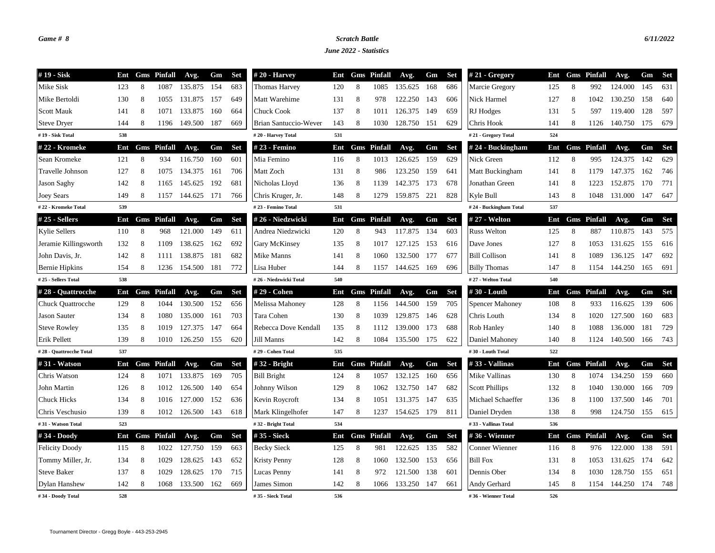### *Game # 8 Scratch Battle 6/11/2022*

*June 2022 - Statistics*

| #19 - Sisk               | Ent |   | <b>Gms</b> Pinfall | Avg.        | Gm  | Set        | $#20$ - Harvey         | Ent |   | <b>Gms</b> Pinfall | Avg.        | Gm  | <b>Set</b> | $#21$ - Gregory        |     |   | Ent Gms Pinfall    | Avg.        | Gm    | Set        |
|--------------------------|-----|---|--------------------|-------------|-----|------------|------------------------|-----|---|--------------------|-------------|-----|------------|------------------------|-----|---|--------------------|-------------|-------|------------|
| Mike Sisk                | 123 | 8 | 1087               | 135.875     | 154 | 683        | Thomas Harvey          | 120 | 8 | 1085               | 135.625     | 168 | 686        | Marcie Gregory         | 125 | 8 | 992                | 124.000     | 145   | 631        |
| Mike Bertoldi            | 130 | 8 | 1055               | 131.875     | 157 | 649        | Matt Warehime          | 131 | 8 | 978                | 122.250     | 143 | 606        | Nick Harmel            | 127 | 8 | 1042               | 130.250     | 158   | 640        |
| <b>Scott Mauk</b>        | 141 | 8 | 1071               | 133.875     | 160 | 664        | <b>Chuck Cook</b>      | 137 | 8 | 1011               | 126.375     | 149 | 659        | RJ Hodges              | 131 | 5 | 597                | 119.400     | 128   | 597        |
| <b>Steve Dryer</b>       | 144 | 8 | 1196               | 149.500     | 187 | 669        | Brian Santuccio-Wever  | 143 | 8 | 1030               | 128.750 151 |     | 629        | Chris Hook             | 141 | 8 | 1126               | 140.750     | 175   | 679        |
| #19 - Sisk Total         | 538 |   |                    |             |     |            | #20 - Harvey Total     | 531 |   |                    |             |     |            | #21 - Gregory Total    | 524 |   |                    |             |       |            |
| #22 - Kromeke            | Ent |   | <b>Gms</b> Pinfall | Avg.        | Gm  | <b>Set</b> | # 23 - Femino          | Ent |   | <b>Gms</b> Pinfall | Avg.        | Gm  | <b>Set</b> | $# 24 - Buckingham$    | Ent |   | <b>Gms</b> Pinfall | Avg.        | Gm    | <b>Set</b> |
| Sean Kromeke             | 121 | 8 | 934                | 116.750     | 160 | 601        | Mia Femino             | 116 | 8 | 1013               | 126.625     | 159 | 629        | Nick Green             | 112 | 8 | 995                | 124.375     | 142   | 629        |
| Travelle Johnson         | 127 | 8 | 1075               | 134.375     | 161 | 706        | Matt Zoch              | 131 | 8 | 986                | 123.250     | 159 | 641        | Matt Buckingham        | 141 | 8 | 1179               | 147.375     | 162   | 746        |
| Jason Saghy              | 142 | 8 | 1165               | 145.625     | 192 | 681        | Nicholas Lloyd         | 136 | 8 | 1139               | 142.375     | 173 | 678        | Jonathan Green         | 141 | 8 | 1223               | 152.875     | 170   | 771        |
| <b>Joey Sears</b>        | 149 | 8 | 1157               | 144.625     | 171 | 766        | Chris Kruger, Jr.      | 148 | 8 | 1279               | 159.875 221 |     | 828        | Kyle Bull              | 143 | 8 | 1048               | 131.000     | 147   | 647        |
| #22 - Kromeke Total      | 539 |   |                    |             |     |            | #23 - Femino Total     | 531 |   |                    |             |     |            | #24 - Buckingham Total | 537 |   |                    |             |       |            |
| #25 - Sellers            | Ent |   | <b>Gms</b> Pinfall | Avg.        | Gm  | <b>Set</b> | #26 - Niedzwicki       | Ent |   | <b>Gms</b> Pinfall | Avg.        | Gm  | <b>Set</b> | # 27 - Welton          | Ent |   | <b>Gms</b> Pinfall | Avg.        | Gm    | <b>Set</b> |
| <b>Kylie Sellers</b>     | 110 | 8 | 968                | 121.000     | 149 | 611        | Andrea Niedzwicki      | 120 | 8 | 943                | 117.875     | 134 | 603        | <b>Russ Welton</b>     | 125 | 8 | 887                | 110.875     | 143   | 575        |
| Jeramie Killingsworth    | 132 | 8 | 1109               | 138.625     | 162 | 692        | Gary McKinsey          | 135 | 8 | 1017               | 127.125     | 153 | 616        | Dave Jones             | 127 | 8 | 1053               | 131.625     | 155   | 616        |
| John Davis, Jr.          | 142 | 8 | 1111               | 138.875     | 181 | 682        | Mike Manns             | 141 | 8 | 1060               | 132.500     | 177 | 677        | <b>Bill Collison</b>   | 141 | 8 | 1089               | 136.125     | 147   | 692        |
| <b>Bernie Hipkins</b>    | 154 | 8 | 1236               | 154.500     | 181 | 772        | Lisa Huber             | 144 | 8 | 1157               | 144.625     | 169 | 696        | <b>Billy Thomas</b>    | 147 | 8 | 1154               | 144.250     | - 165 | 691        |
| #25 - Sellers Total      | 538 |   |                    |             |     |            | #26 - Niedzwicki Total | 540 |   |                    |             |     |            | #27 - Welton Total     | 540 |   |                    |             |       |            |
| #28 - Quattrocche        | Ent |   | <b>Gms</b> Pinfall | Avg.        | Gm  | <b>Set</b> | # 29 - Cohen           | Ent |   | <b>Gms</b> Pinfall | Avg.        | Gm  | <b>Set</b> | #30 - Louth            | Ent |   | <b>Gms</b> Pinfall | Avg.        | Gm    | <b>Set</b> |
| <b>Chuck Quattrocche</b> | 129 | 8 | 1044               | 130.500     | 152 | 656        | Melissa Mahoney        | 128 | 8 | 1156               | 144.500     | 159 | 705        | <b>Spencer Mahoney</b> | 108 | 8 | 933                | 116.625     | 139   | 606        |
| <b>Jason Sauter</b>      | 134 | 8 | 1080               | 135.000     | 161 | 703        | Tara Cohen             | 130 | 8 | 1039               | 129.875     | 146 | 628        | Chris Louth            | 134 | 8 | 1020               | 127.500     | 160   | 683        |
| <b>Steve Rowley</b>      | 135 | 8 | 1019               | 127.375     | 147 | 664        | Rebecca Dove Kendall   | 135 | 8 | 1112               | 139.000     | 173 | 688        | Rob Hanley             | 140 | 8 | 1088               | 136.000     | 181   | 729        |
| Erik Pellett             | 139 | 8 | 1010               | 126.250     | 155 | 620        | Jill Manns             | 142 | 8 | 1084               | 135.500     | 175 | 622        | Daniel Mahoney         | 140 | 8 | 1124               | 140.500     | 166   | 743        |
| #28 - Quattrocche Total  | 537 |   |                    |             |     |            | #29 - Cohen Total      | 535 |   |                    |             |     |            | #30 - Louth Total      | 522 |   |                    |             |       |            |
| #31 - Watson             | Ent |   | <b>Gms</b> Pinfall | Avg.        | Gm  | <b>Set</b> | $#32$ - Bright         | Ent |   | <b>Gms</b> Pinfall | Avg.        | Gm  | <b>Set</b> | #33 - Vallinas         | Ent |   | <b>Gms</b> Pinfall | Avg.        | Gm    | Set        |
| Chris Watson             | 124 | 8 | 1071               | 133.875     | 169 | 705        | <b>Bill Bright</b>     | 124 | 8 | 1057               | 132.125     | 160 | 656        | Mike Vallinas          | 130 | 8 | 1074               | 134.250     | 159   | 660        |
| John Martin              | 126 | 8 | 1012               | 126.500     | 140 | 654        | Johnny Wilson          | 129 | 8 | 1062               | 132.750 147 |     | 682        | <b>Scott Phillips</b>  | 132 | 8 | 1040               | 130.000     | 166   | 709        |
| <b>Chuck Hicks</b>       | 134 | 8 | 1016               | 127.000     | 152 | 636        | Kevin Roycroft         | 134 | 8 | 1051               | 131.375     | 147 | 635        | Michael Schaeffer      | 136 | 8 | 1100               | 137.500     | 146   | 701        |
| Chris Veschusio          | 139 | 8 | 1012               | 126.500 143 |     | 618        | Mark Klingelhofer      | 147 | 8 | 1237               | 154.625 179 |     | 811        | Daniel Dryden          | 138 | 8 | 998                | 124.750 155 |       | 615        |
| #31 - Watson Total       | 523 |   |                    |             |     |            | #32 - Bright Total     | 534 |   |                    |             |     |            | #33 - Vallinas Total   | 536 |   |                    |             |       |            |
| #34 - Doody              | Ent |   | <b>Gms</b> Pinfall | Avg.        | Gm  | <b>Set</b> | # 35 - Sieck           | Ent |   | <b>Gms</b> Pinfall | Avg.        | Gm  | <b>Set</b> | #36 - Wienner          |     |   | Ent Gms Pinfall    | Avg.        | Gm    | Set        |
| <b>Felicity Doody</b>    | 115 | 8 | 1022               | 127.750     | 159 | 663        | <b>Becky Sieck</b>     | 125 | 8 | 981                | 122.625     | 135 | 582        | Conner Wienner         | 116 | 8 | 976                | 122.000     | 138   | 591        |
| Tommy Miller, Jr.        | 134 | 8 | 1029               | 128.625     | 143 | 652        | <b>Kristy Penny</b>    | 128 | 8 | 1060               | 132.500     | 153 | 656        | <b>Bill Fox</b>        | 131 | 8 | 1053               | 131.625     | 174   | 642        |
| <b>Steve Baker</b>       | 137 | 8 | 1029               | 128.625     | 170 | 715        | Lucas Penny            | 141 | 8 | 972                | 121.500     | 138 | 601        | Dennis Ober            | 134 | 8 | 1030               | 128.750     | 155   | 651        |
| Dylan Hanshew            | 142 | 8 | 1068               | 133.500     | 162 | 669        | James Simon            | 142 | 8 | 1066               | 133.250     | 147 | 661        | Andy Gerhard           | 145 | 8 | 1154               | 144.250     | 174   | 748        |
| #34 - Doody Total        | 528 |   |                    |             |     |            | #35 - Sieck Total      | 536 |   |                    |             |     |            | #36 - Wienner Total    | 526 |   |                    |             |       |            |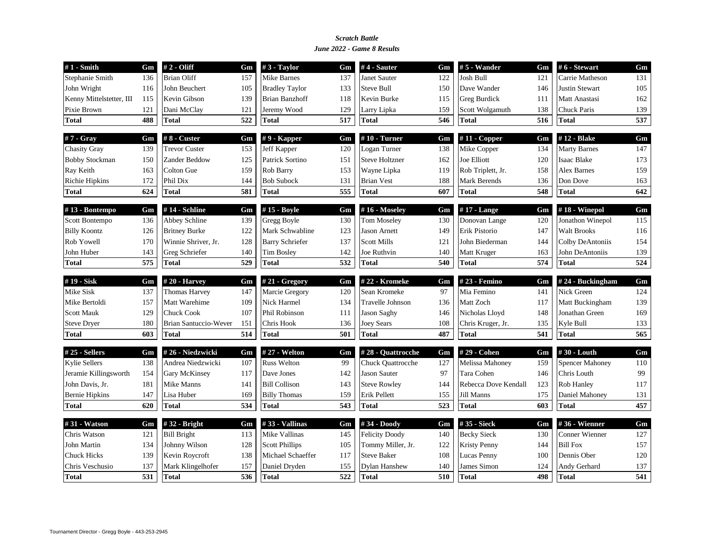#### *June 2022 - Game 8 Results Scratch Battle*

| $#1$ - Smith                 | Gm  | # 2 - Oliff                        | Gm  | $#3$ - Taylor                   | Gm  | #4 - Sauter                          | Gm  | $# 5$ - Wander                    | Gm  | # 6 - Stewart                   | Gm        |
|------------------------------|-----|------------------------------------|-----|---------------------------------|-----|--------------------------------------|-----|-----------------------------------|-----|---------------------------------|-----------|
| Stephanie Smith              | 136 | <b>Brian Oliff</b>                 | 157 | <b>Mike Barnes</b>              | 137 | <b>Janet Sauter</b>                  | 122 | <b>Josh Bull</b>                  | 121 | Carrie Matheson                 | 131       |
| John Wright                  | 116 | John Beuchert                      | 105 | <b>Bradley Taylor</b>           | 133 | <b>Steve Bull</b>                    | 150 | Dave Wander                       | 146 | <b>Justin Stewart</b>           | 105       |
| Kenny Mittelstetter, III     | 115 | Kevin Gibson                       | 139 | <b>Brian Banzhoff</b>           | 118 | Kevin Burke                          | 115 | Greg Burdick                      | 111 | Matt Anastasi                   | 162       |
| Pixie Brown                  | 121 | Dani McClay                        | 121 | Jeremy Wood                     | 129 | Larry Lipka                          | 159 | Scott Wolgamuth                   | 138 | <b>Chuck Paris</b>              | 139       |
| <b>Total</b>                 | 488 | Total                              | 522 | Total                           | 517 | <b>Total</b>                         | 546 | <b>Total</b>                      | 516 | Total                           | 537       |
| #7 - Gray                    | Gm  | #8 - Custer                        | Gm  | $# 9$ - Kapper                  | Gm  | $#10$ - Turner                       | Gm  | $#11$ - Copper                    | Gm  | #12 - Blake                     | Gm        |
| <b>Chasity Gray</b>          | 139 | <b>Trevor Custer</b>               | 153 | Jeff Kapper                     | 120 | Logan Turner                         | 138 | Mike Copper                       | 134 | <b>Marty Barnes</b>             | 147       |
| <b>Bobby Stockman</b>        | 150 | Zander Beddow                      | 125 | Patrick Sortino                 | 151 | <b>Steve Holtzner</b>                | 162 | <b>Joe Elliott</b>                | 120 | <b>Isaac Blake</b>              | 173       |
| Ray Keith                    | 163 | Colton Gue                         | 159 | Rob Barry                       | 153 | Wayne Lipka                          | 119 | Rob Triplett, Jr.                 | 158 | <b>Alex Barnes</b>              | 159       |
| <b>Richie Hipkins</b>        | 172 | Phil Dix                           | 144 | <b>Bob Subock</b>               | 131 | <b>Brian Vest</b>                    | 188 | Mark Berends                      | 136 | Don Dove                        | 163       |
| Total                        | 624 | <b>Total</b>                       | 581 | <b>Total</b>                    | 555 | <b>Total</b>                         | 607 | <b>Total</b>                      | 548 | <b>Total</b>                    | 642       |
| #13 - Bontempo               | Gm  | #14 - Schline                      | Gm  | #15 - Boyle                     | Gm  | #16 - Moseley                        | Gm  | $#17$ - Lange                     | Gm  | $#18$ - Winepol                 | Gm        |
| Scott Bontempo               | 136 | Abbey Schline                      | 139 | Gregg Boyle                     | 130 | Tom Moseley                          | 130 | Donovan Lange                     | 120 | Jonathon Winepol                | 115       |
| <b>Billy Koontz</b>          | 126 | <b>Britney Burke</b>               | 122 | Mark Schwabline                 | 123 | <b>Jason Arnett</b>                  | 149 | Erik Pistorio                     | 147 | <b>Walt Brooks</b>              | 116       |
| Rob Yowell                   | 170 | Winnie Shriver, Jr.                | 128 | <b>Barry Schriefer</b>          | 137 | <b>Scott Mills</b>                   | 121 | John Biederman                    | 144 | Colby DeAntoniis                | 154       |
| John Huber                   | 143 | Greg Schriefer                     | 140 | <b>Tim Bosley</b>               | 142 | Joe Ruthvin                          | 140 | Matt Kruger                       | 163 | John DeAntoniis                 | 139       |
| <b>Total</b>                 | 575 | <b>Total</b>                       | 529 | <b>Total</b>                    | 532 | <b>Total</b>                         | 540 | <b>Total</b>                      | 574 | Total                           | 524       |
| #19 - Sisk                   | Gm  | #20 - Harvey                       | Gm  | $#21 - Gregory$                 | Gm  | #22 - Kromeke                        | Gm  | #23 - Femino                      | Gm  | #24 - Buckingham                | Gm        |
| Mike Sisk                    | 137 | <b>Thomas Harvey</b>               | 147 | Marcie Gregory                  | 120 | Sean Kromeke                         | 97  | Mia Femino                        | 141 | Nick Green                      | 124       |
| Mike Bertoldi                | 157 | Matt Warehime                      | 109 | Nick Harmel                     | 134 | Travelle Johnson                     | 136 | Matt Zoch                         | 117 | Matt Buckingham                 | 139       |
| <b>Scott Mauk</b>            | 129 | <b>Chuck Cook</b>                  | 107 | Phil Robinson                   | 111 | <b>Jason Saghy</b>                   | 146 | Nicholas Lloyd                    | 148 | Jonathan Green                  | 169       |
| <b>Steve Dryer</b>           | 180 | <b>Brian Santuccio-Wever</b>       | 151 | Chris Hook                      | 136 | Joey Sears                           | 108 | Chris Kruger, Jr.                 | 135 | Kyle Bull                       | 133       |
| <b>Total</b>                 | 603 | <b>Total</b>                       | 514 | <b>Total</b>                    | 501 | <b>Total</b>                         | 487 | <b>Total</b>                      | 541 | Total                           | 565       |
| $#25 - Sellers$              | Gm  | #26 - Niedzwicki                   | Gm  | # 27 - Welton                   | Gm  | #28 - Quattrocche                    | Gm  | #29 - Cohen                       | Gm  | # $30 -$ Louth                  | Gm        |
| <b>Kylie Sellers</b>         |     | Andrea Niedzwicki                  | 107 | <b>Russ Welton</b>              | 99  | Chuck Quattrocche                    | 127 | Melissa Mahoney                   | 159 | <b>Spencer Mahoney</b>          | 110       |
|                              | 138 |                                    |     |                                 |     |                                      |     |                                   |     |                                 |           |
| Jeramie Killingsworth        | 154 | Gary McKinsey                      | 117 | Dave Jones                      | 142 | Jason Sauter                         | 97  | Tara Cohen                        | 146 | Chris Louth                     | 99        |
| John Davis, Jr.              | 181 | <b>Mike Manns</b>                  | 141 | <b>Bill Collison</b>            | 143 | <b>Steve Rowley</b>                  | 144 | Rebecca Dove Kendall              | 123 | Rob Hanley                      | 117       |
| <b>Bernie Hipkins</b>        | 147 | Lisa Huber                         | 169 | <b>Billy Thomas</b>             | 159 | Erik Pellett                         | 155 | Jill Manns                        | 175 | Daniel Mahoney                  | 131       |
| <b>Total</b>                 | 620 | <b>Total</b>                       | 534 | <b>Total</b>                    | 543 | <b>Total</b>                         | 523 | <b>Total</b>                      | 603 | Total                           | 457       |
|                              | Gm  |                                    | Gm  |                                 | Gm  |                                      | Gm  |                                   | Gm  |                                 |           |
| #31 - Watson<br>Chris Watson | 121 | #32 - Bright<br><b>Bill Bright</b> | 113 | #33 - Vallinas<br>Mike Vallinas | 145 | #34 - Doody<br><b>Felicity Doody</b> | 140 | #35 - Sieck<br><b>Becky Sieck</b> | 130 | #36 - Wienner<br>Conner Wienner | Gm<br>127 |
| <b>John Martin</b>           | 134 | Johnny Wilson                      | 128 | <b>Scott Phillips</b>           | 105 | Tommy Miller, Jr.                    | 122 | <b>Kristy Penny</b>               | 144 | <b>Bill Fox</b>                 | 157       |
| <b>Chuck Hicks</b>           | 139 | Kevin Roycroft                     | 138 | Michael Schaeffer               | 117 | <b>Steve Baker</b>                   | 108 | Lucas Penny                       | 100 | Dennis Ober                     | 120       |
| Chris Veschusio              | 137 | Mark Klingelhofer                  | 157 | Daniel Dryden                   | 155 | Dylan Hanshew                        | 140 | James Simon                       | 124 | Andy Gerhard                    | 137       |